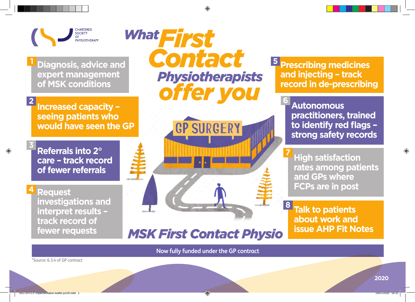

**1**

**2**

**3**

**Diagnosis, advice and expert management of MSK conditions**

**Increased capacity – seeing patients who would have seen the GP**

**Referrals into 2° care – track record of fewer referrals**

**4** Request **investigations and interpret results – track record of fewer requests** 

 *First What Contact Physiotherapists offer you*



*MSK First Contact Physio*

**Prescribing medicines 5 and injecting – track record in de-prescribing**

**6**

**8**

**Autonomous practitioners, trained to identify red flags – strong safety records**

**High satisfaction rates among patients and GPs where FCPs are in post 7**

**Talk to patients about work and issue AHP Fit Notes**

**Now fully funded under the GP contract**